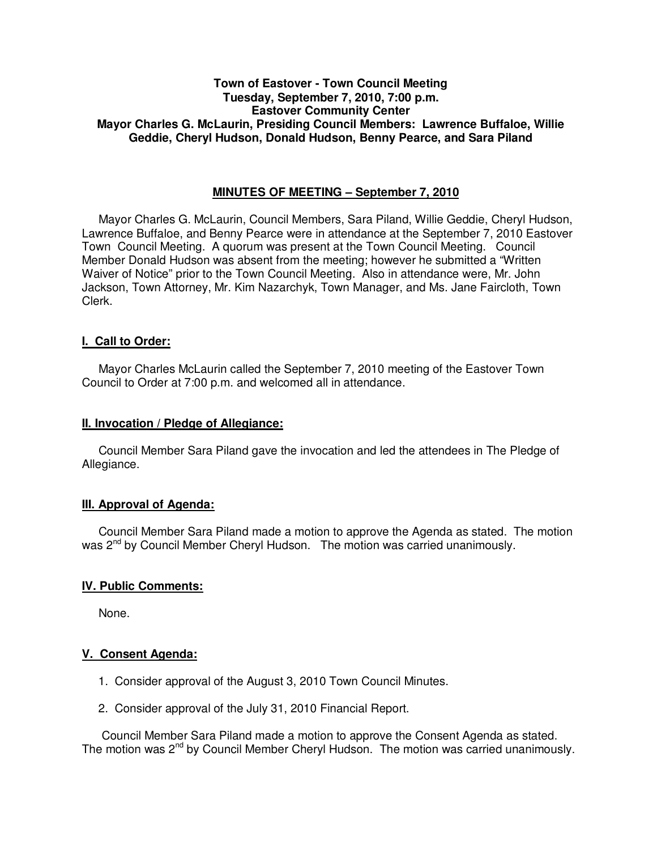## **Town of Eastover - Town Council Meeting Tuesday, September 7, 2010, 7:00 p.m. Eastover Community Center Mayor Charles G. McLaurin, Presiding Council Members: Lawrence Buffaloe, Willie Geddie, Cheryl Hudson, Donald Hudson, Benny Pearce, and Sara Piland**

## **MINUTES OF MEETING – September 7, 2010**

Mayor Charles G. McLaurin, Council Members, Sara Piland, Willie Geddie, Cheryl Hudson, Lawrence Buffaloe, and Benny Pearce were in attendance at the September 7, 2010 Eastover Town Council Meeting. A quorum was present at the Town Council Meeting. Council Member Donald Hudson was absent from the meeting; however he submitted a "Written Waiver of Notice" prior to the Town Council Meeting. Also in attendance were, Mr. John Jackson, Town Attorney, Mr. Kim Nazarchyk, Town Manager, and Ms. Jane Faircloth, Town Clerk.

### **I. Call to Order:**

Mayor Charles McLaurin called the September 7, 2010 meeting of the Eastover Town Council to Order at 7:00 p.m. and welcomed all in attendance.

### **II. Invocation / Pledge of Allegiance:**

 Council Member Sara Piland gave the invocation and led the attendees in The Pledge of Allegiance.

### **III. Approval of Agenda:**

 Council Member Sara Piland made a motion to approve the Agenda as stated. The motion was 2<sup>nd</sup> by Council Member Cheryl Hudson. The motion was carried unanimously.

### **IV. Public Comments:**

None.

### **V. Consent Agenda:**

- 1. Consider approval of the August 3, 2010 Town Council Minutes.
- 2. Consider approval of the July 31, 2010 Financial Report.

 Council Member Sara Piland made a motion to approve the Consent Agenda as stated. The motion was 2<sup>nd</sup> by Council Member Cheryl Hudson. The motion was carried unanimously.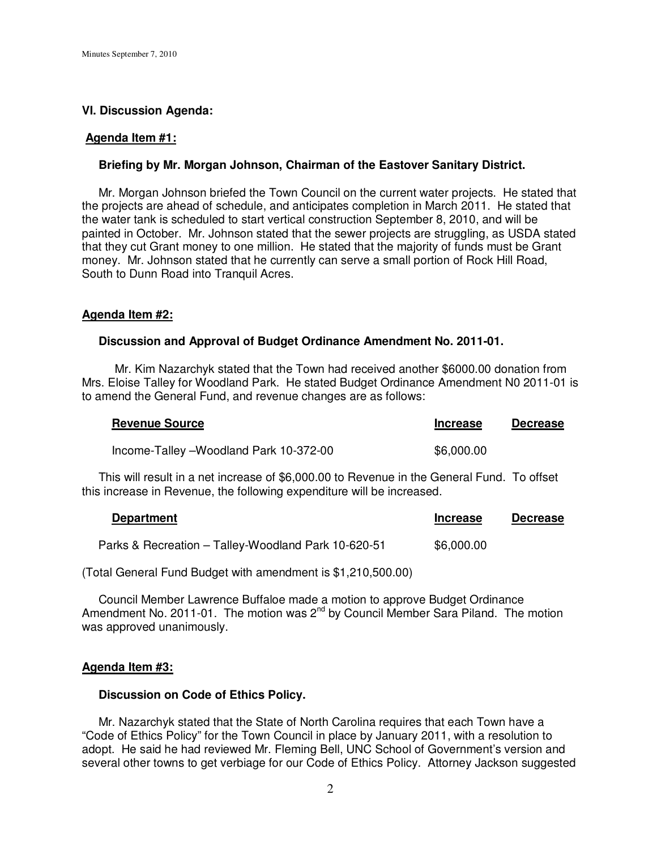#### **VI. Discussion Agenda:**

#### **Agenda Item #1:**

#### **Briefing by Mr. Morgan Johnson, Chairman of the Eastover Sanitary District.**

 Mr. Morgan Johnson briefed the Town Council on the current water projects. He stated that the projects are ahead of schedule, and anticipates completion in March 2011. He stated that the water tank is scheduled to start vertical construction September 8, 2010, and will be painted in October. Mr. Johnson stated that the sewer projects are struggling, as USDA stated that they cut Grant money to one million. He stated that the majority of funds must be Grant money. Mr. Johnson stated that he currently can serve a small portion of Rock Hill Road, South to Dunn Road into Tranquil Acres.

#### **Agenda Item #2:**

#### **Discussion and Approval of Budget Ordinance Amendment No. 2011-01.**

 Mr. Kim Nazarchyk stated that the Town had received another \$6000.00 donation from Mrs. Eloise Talley for Woodland Park. He stated Budget Ordinance Amendment N0 2011-01 is to amend the General Fund, and revenue changes are as follows:

| <b>Revenue Source</b>                  | <b>Increase</b> | <b>Decrease</b> |
|----------------------------------------|-----------------|-----------------|
| Income-Talley -Woodland Park 10-372-00 | \$6,000.00      |                 |

 This will result in a net increase of \$6,000.00 to Revenue in the General Fund. To offset this increase in Revenue, the following expenditure will be increased.

| <b>Department</b>                                   | <b>Increase</b> | <b>Decrease</b> |
|-----------------------------------------------------|-----------------|-----------------|
| Parks & Recreation - Talley-Woodland Park 10-620-51 | \$6,000.00      |                 |

(Total General Fund Budget with amendment is \$1,210,500.00)

 Council Member Lawrence Buffaloe made a motion to approve Budget Ordinance Amendment No. 2011-01. The motion was  $2^{nd}$  by Council Member Sara Piland. The motion was approved unanimously.

#### **Agenda Item #3:**

#### **Discussion on Code of Ethics Policy.**

 Mr. Nazarchyk stated that the State of North Carolina requires that each Town have a "Code of Ethics Policy" for the Town Council in place by January 2011, with a resolution to adopt. He said he had reviewed Mr. Fleming Bell, UNC School of Government's version and several other towns to get verbiage for our Code of Ethics Policy. Attorney Jackson suggested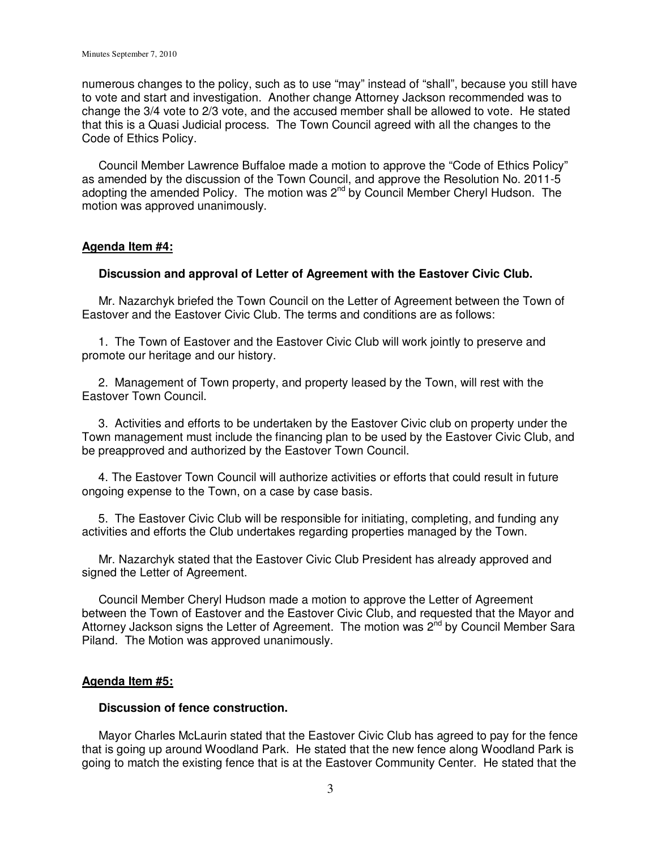numerous changes to the policy, such as to use "may" instead of "shall", because you still have to vote and start and investigation. Another change Attorney Jackson recommended was to change the 3/4 vote to 2/3 vote, and the accused member shall be allowed to vote. He stated that this is a Quasi Judicial process. The Town Council agreed with all the changes to the Code of Ethics Policy.

 Council Member Lawrence Buffaloe made a motion to approve the "Code of Ethics Policy" as amended by the discussion of the Town Council, and approve the Resolution No. 2011-5 adopting the amended Policy. The motion was  $2^{nd}$  by Council Member Cheryl Hudson. The motion was approved unanimously.

## **Agenda Item #4:**

### **Discussion and approval of Letter of Agreement with the Eastover Civic Club.**

 Mr. Nazarchyk briefed the Town Council on the Letter of Agreement between the Town of Eastover and the Eastover Civic Club. The terms and conditions are as follows:

 1. The Town of Eastover and the Eastover Civic Club will work jointly to preserve and promote our heritage and our history.

 2. Management of Town property, and property leased by the Town, will rest with the Eastover Town Council.

 3. Activities and efforts to be undertaken by the Eastover Civic club on property under the Town management must include the financing plan to be used by the Eastover Civic Club, and be preapproved and authorized by the Eastover Town Council.

 4. The Eastover Town Council will authorize activities or efforts that could result in future ongoing expense to the Town, on a case by case basis.

 5. The Eastover Civic Club will be responsible for initiating, completing, and funding any activities and efforts the Club undertakes regarding properties managed by the Town.

 Mr. Nazarchyk stated that the Eastover Civic Club President has already approved and signed the Letter of Agreement.

 Council Member Cheryl Hudson made a motion to approve the Letter of Agreement between the Town of Eastover and the Eastover Civic Club, and requested that the Mayor and Attorney Jackson signs the Letter of Agreement. The motion was 2<sup>nd</sup> by Council Member Sara Piland. The Motion was approved unanimously.

### **Agenda Item #5:**

## **Discussion of fence construction.**

 Mayor Charles McLaurin stated that the Eastover Civic Club has agreed to pay for the fence that is going up around Woodland Park. He stated that the new fence along Woodland Park is going to match the existing fence that is at the Eastover Community Center. He stated that the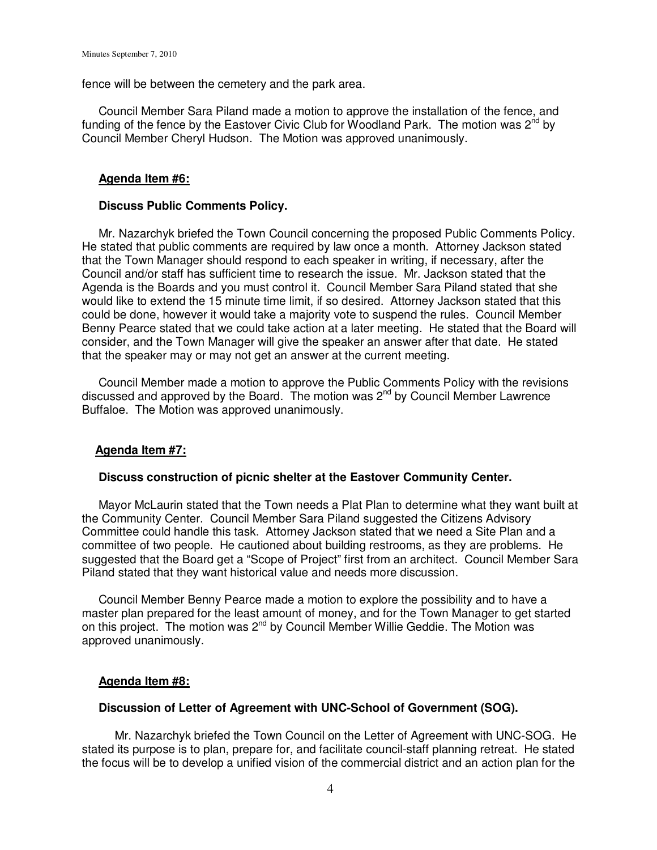fence will be between the cemetery and the park area.

 Council Member Sara Piland made a motion to approve the installation of the fence, and funding of the fence by the Eastover Civic Club for Woodland Park. The motion was  $2^{nd}$  by Council Member Cheryl Hudson. The Motion was approved unanimously.

# **Agenda Item #6:**

## **Discuss Public Comments Policy.**

Mr. Nazarchyk briefed the Town Council concerning the proposed Public Comments Policy. He stated that public comments are required by law once a month. Attorney Jackson stated that the Town Manager should respond to each speaker in writing, if necessary, after the Council and/or staff has sufficient time to research the issue. Mr. Jackson stated that the Agenda is the Boards and you must control it. Council Member Sara Piland stated that she would like to extend the 15 minute time limit, if so desired. Attorney Jackson stated that this could be done, however it would take a majority vote to suspend the rules. Council Member Benny Pearce stated that we could take action at a later meeting. He stated that the Board will consider, and the Town Manager will give the speaker an answer after that date. He stated that the speaker may or may not get an answer at the current meeting.

 Council Member made a motion to approve the Public Comments Policy with the revisions discussed and approved by the Board. The motion was  $2^{nd}$  by Council Member Lawrence Buffaloe. The Motion was approved unanimously.

# **Agenda Item #7:**

## **Discuss construction of picnic shelter at the Eastover Community Center.**

 Mayor McLaurin stated that the Town needs a Plat Plan to determine what they want built at the Community Center. Council Member Sara Piland suggested the Citizens Advisory Committee could handle this task. Attorney Jackson stated that we need a Site Plan and a committee of two people. He cautioned about building restrooms, as they are problems. He suggested that the Board get a "Scope of Project" first from an architect. Council Member Sara Piland stated that they want historical value and needs more discussion.

 Council Member Benny Pearce made a motion to explore the possibility and to have a master plan prepared for the least amount of money, and for the Town Manager to get started on this project. The motion was 2<sup>nd</sup> by Council Member Willie Geddie. The Motion was approved unanimously.

# **Agenda Item #8:**

### **Discussion of Letter of Agreement with UNC-School of Government (SOG).**

 Mr. Nazarchyk briefed the Town Council on the Letter of Agreement with UNC-SOG. He stated its purpose is to plan, prepare for, and facilitate council-staff planning retreat. He stated the focus will be to develop a unified vision of the commercial district and an action plan for the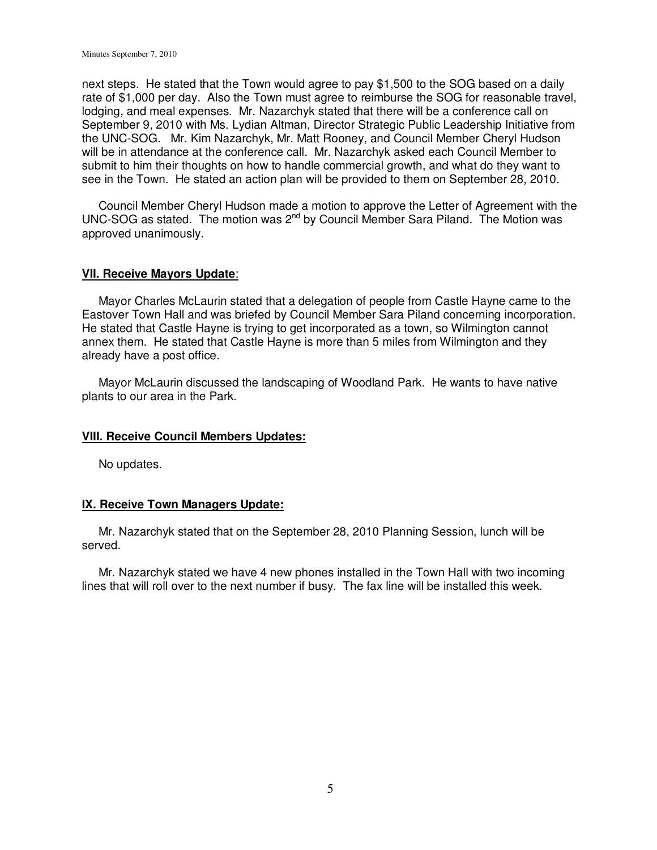next steps. He stated that the Town would agree to pay \$1,500 to the SOG based on a daily rate of \$1,000 per day. Also the Town must agree to reimburse the SOG for reasonable travel, lodging, and meal expenses. Mr. Nazarchyk stated that there will be a conference call on September 9, 2010 with Ms. Lydian Altman, Director Strategic Public Leadership Initiative from the UNC-SOG. Mr. Kim Nazarchyk, Mr. Matt Rooney, and Council Member Cheryl Hudson will be in attendance at the conference call. Mr. Nazarchyk asked each Council Member to submit to him their thoughts on how to handle commercial growth, and what do they want to see in the Town. He stated an action plan will be provided to them on September 28, 2010.

 Council Member Cheryl Hudson made a motion to approve the Letter of Agreement with the UNC-SOG as stated. The motion was 2nd by Council Member Sara Piland. The Motion was approved unanimously.

### **VII. Receive Mayors Update**:

 Mayor Charles McLaurin stated that a delegation of people from Castle Hayne came to the Eastover Town Hall and was briefed by Council Member Sara Piland concerning incorporation. He stated that Castle Hayne is trying to get incorporated as a town, so Wilmington cannot annex them. He stated that Castle Hayne is more than 5 miles from Wilmington and they already have a post office.

 Mayor McLaurin discussed the landscaping of Woodland Park. He wants to have native plants to our area in the Park.

### **VIII. Receive Council Members Updates:**

No updates.

### **IX. Receive Town Managers Update:**

 Mr. Nazarchyk stated that on the September 28, 2010 Planning Session, lunch will be served.

 Mr. Nazarchyk stated we have 4 new phones installed in the Town Hall with two incoming lines that will roll over to the next number if busy. The fax line will be installed this week.